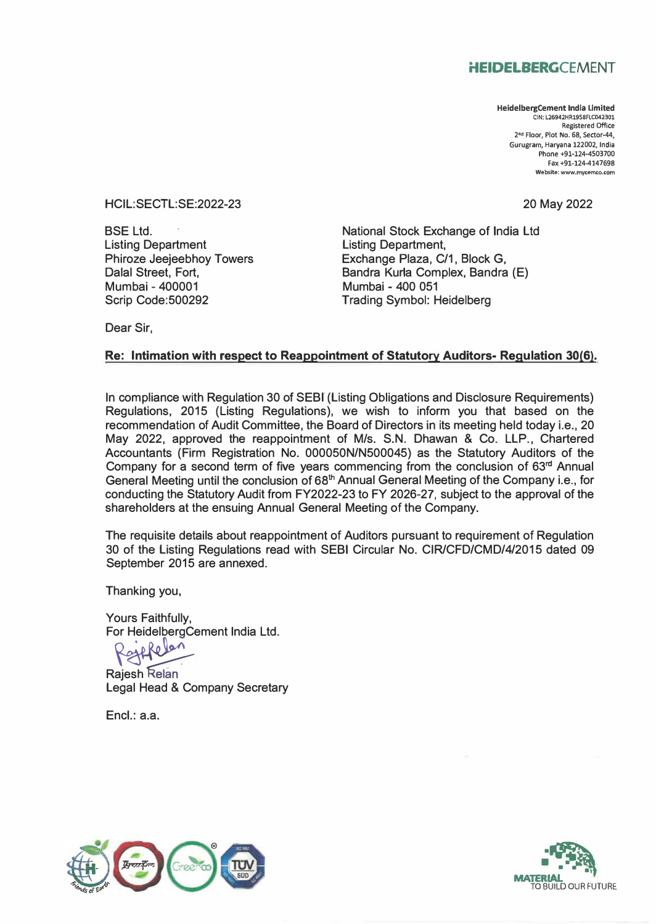## **HEIDELBERGCEMENT**

**HeidelbergCement India Limited CIN: L26942HR1958FLC042301 Registered Office 2 nd Floor, Plot No. 68, Sector-44, Gurugram, Haryana 122002, India Phone +91-124-4503700 Fax +91-124-4147698 Website: www.mycemco.com** 

HCIL:SECTL:SE:2022-23

20 May 2022

BSE Ltd. Listing Department Phiroze Jeejeebhoy Towers Dalal Street, Fort, Mumbai - 400001 Scrip Code:500292

National Stock Exchange of India Ltd Listing Department, Exchange Plaza, C/1, Block G, Bandra Kurla Complex, Bandra (E) Mumbai - 400 051 Trading Symbol: Heidelberg

Dear Sir,

## **Re: Intimation with respect to Reappointment of Statutory Auditors- Regulation 30(6).**

In compliance with Regulation 30 of SEBI (Listing Obligations and Disclosure Requirements) Regulations, 2015 (Listing Regulations), we wish to inform you that based on the recommendation of Audit Committee, the Board of Directors in its meeting held today i.e., 20 May 2022, approved the reappointment of M/s. S.N. Dhawan & Co. LLP., Chartered Accountants (Firm Registration No. 000050N/N500045) as the Statutory Auditors of the Company for a second term of five years commencing from the conclusion of 63rd Annual General Meeting until the conclusion of 68th Annual General Meeting of the Company i.e., for conducting the Statutory Audit from FY2022-23 to FY 2026-27, subject to the approval of the shareholders at the ensuing Annual General Meeting of the Company.

The requisite details about reappointment of Auditors pursuant to requirement of Regulation 30 of the Listing Regulations read with SEBI Circular No. CIR/CFD/CMD/4/2015 dated 09 September 2015 are annexed.

Thanking you,

Yours Faithfully,

For HeidelbergCement India Ltd.<br>Reflexion

**Rajesh Relan** Legal Head & Company Secretary

Encl.: a.a.



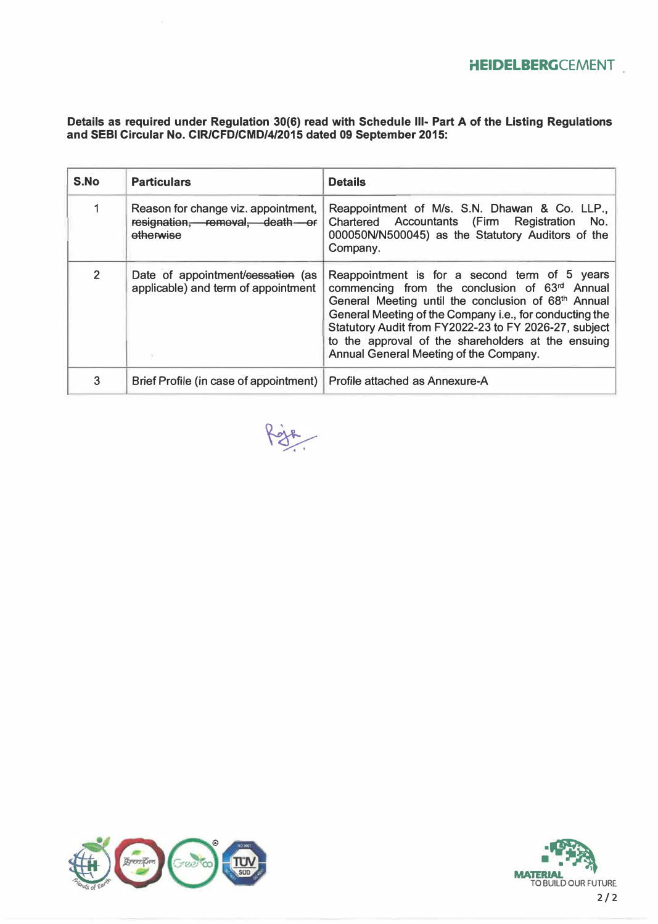**Details as required under Regulation 30(6) read with Schedule 111- Part A of the Listing Regulations and SEBI Circular No. CIR/CFD/CMD/4/2015 dated 09 September 2015:** 

| S.No           | <b>Particulars</b>                                                                 | <b>Details</b>                                                                                                                                                                                                                                                                                                                                                            |
|----------------|------------------------------------------------------------------------------------|---------------------------------------------------------------------------------------------------------------------------------------------------------------------------------------------------------------------------------------------------------------------------------------------------------------------------------------------------------------------------|
|                | Reason for change viz. appointment,<br>resignation, removal, death or<br>etherwise | Reappointment of M/s. S.N. Dhawan & Co. LLP.,<br>Chartered Accountants (Firm Registration No.<br>000050N/N500045) as the Statutory Auditors of the<br>Company.                                                                                                                                                                                                            |
| $\overline{2}$ | Date of appointment/cessation (as<br>applicable) and term of appointment           | Reappointment is for a second term of 5 years<br>commencing from the conclusion of 63rd Annual<br>General Meeting until the conclusion of 68th Annual<br>General Meeting of the Company i.e., for conducting the<br>Statutory Audit from FY2022-23 to FY 2026-27, subject<br>to the approval of the shareholders at the ensuing<br>Annual General Meeting of the Company. |
| 3              | Brief Profile (in case of appointment)   Profile attached as Annexure-A            |                                                                                                                                                                                                                                                                                                                                                                           |

Roja